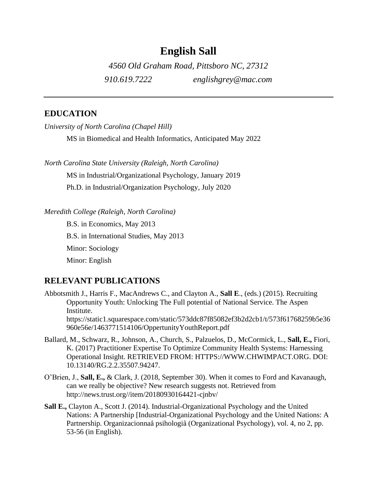# **English Sall**

*4560 Old Graham Road, Pittsboro NC, 27312 910.619.7222 englishgrey@mac.com*

# **EDUCATION**

*University of North Carolina (Chapel Hill)*

MS in Biomedical and Health Informatics, Anticipated May 2022

*North Carolina State University (Raleigh, North Carolina)*

MS in Industrial/Organizational Psychology, January 2019

Ph.D. in Industrial/Organization Psychology, July 2020

*Meredith College (Raleigh, North Carolina)*

B.S. in Economics, May 2013 B.S. in International Studies, May 2013 Minor: Sociology Minor: English

### **RELEVANT PUBLICATIONS**

- Abbotsmith J., Harris F., MacAndrews C., and Clayton A., **Sall E**., (eds.) (2015). Recruiting Opportunity Youth: Unlocking The Full potential of National Service. The Aspen Institute. https://static1.squarespace.com/static/573ddc87f85082ef3b2d2cb1/t/573f61768259b5e36 960e56e/1463771514106/OppertunityYouthReport.pdf
- Ballard, M., Schwarz, R., Johnson, A., Church, S., Palzuelos, D., McCormick, L., **Sall, E.,** Fiori, K. (2017) Practitioner Expertise To Optimize Community Health Systems: Harnessing Operational Insight. RETRIEVED FROM: HTTPS://WWW.CHWIMPACT.ORG. DOI: 10.13140/RG.2.2.35507.94247.
- O'Brien, J., **Sall, E.,** & Clark, J. (2018, September 30). When it comes to Ford and Kavanaugh, can we really be objective? New research suggests not. Retrieved from http://news.trust.org//item/20180930164421-cjnbv/
- **Sall E.,** Clayton A., Scott J. (2014). Industrial-Organizational Psychology and the United Nations: A Partnership [Industrial-Organizational Psychology and the United Nations: A Partnership. Organizacionnaâ psihologiâ (Organizational Psychology), vol. 4, no 2, pp. 53-56 (in English).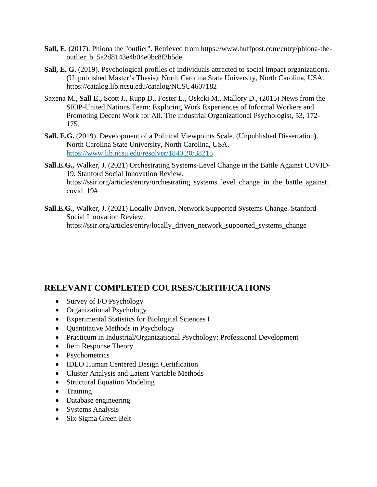- **Sall, E**. (2017). Phiona the "outlier". Retrieved from https://www.huffpost.com/entry/phiona-theoutlier\_b\_5a2d8143e4b04e0bc8f3b5de
- **Sall, E. G.** (2019). Psychological profiles of individuals attracted to social impact organizations. (Unpublished Master's Thesis). North Carolina State University, North Carolina, USA. https://catalog.lib.ncsu.edu/catalog/NCSU4607182
- Saxena M., **Sall E.,** Scott J., Rupp D., Foster L., Oskcki M., Mallory D., (2015) News from the SIOP-United Nations Team: Exploring Work Experiences of Informal Workers and Promoting Decent Work for All. The Industrial Organizational Psychologist, 53, 172- 175.
- **Sall. E.G.** (2019). Development of a Political Viewpoints Scale. (Unpublished Dissertation). North Carolina State University, North Carolina, USA. <https://www.lib.ncsu.edu/resolver/1840.20/38215>
- **Sall.E.G.,** Walker, J. (2021) Orchestrating Systems-Level Change in the Battle Against COVID-19. Stanford Social Innovation Review. https://ssir.org/articles/entry/orchestrating\_systems\_level\_change\_in\_the\_battle\_against\_ covid\_19#
- **Sall.E.G.,** Walker, J. (2021) Locally Driven, Network Supported Systems Change. Stanford Social Innovation Review. https://ssir.org/articles/entry/locally\_driven\_network\_supported\_systems\_change

# **RELEVANT COMPLETED COURSES/CERTIFICATIONS**

- Survey of I/O Psychology
- Organizational Psychology
- Experimental Statistics for Biological Sciences I
- Quantitative Methods in Psychology
- Practicum in Industrial/Organizational Psychology: Professional Development
- Item Response Theory
- Psychometrics
- IDEO Human Centered Design Certification
- Cluster Analysis and Latent Variable Methods
- Structural Equation Modeling
- Training
- Database engineering
- Systems Analysis
- Six Sigma Green Belt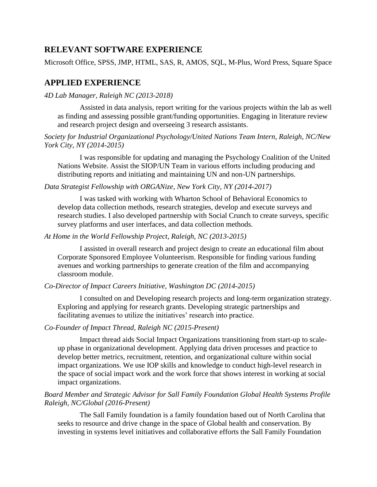# **RELEVANT SOFTWARE EXPERIENCE**

Microsoft Office, SPSS, JMP, HTML, SAS, R, AMOS, SQL, M-Plus, Word Press, Square Space

# **APPLIED EXPERIENCE**

*4D Lab Manager, Raleigh NC (2013-2018)*

Assisted in data analysis, report writing for the various projects within the lab as well as finding and assessing possible grant/funding opportunities. Engaging in literature review and research project design and overseeing 3 research assistants.

*Society for Industrial Organizational Psychology/United Nations Team Intern, Raleigh, NC/New York City, NY (2014-2015)* 

I was responsible for updating and managing the Psychology Coalition of the United Nations Website. Assist the SIOP/UN Team in various efforts including producing and distributing reports and initiating and maintaining UN and non-UN partnerships.

#### *Data Strategist Fellowship with ORGANize, New York City, NY (2014-2017)*

I was tasked with working with Wharton School of Behavioral Economics to develop data collection methods, research strategies, develop and execute surveys and research studies. I also developed partnership with Social Crunch to create surveys, specific survey platforms and user interfaces, and data collection methods.

#### *At Home in the World Fellowship Project, Raleigh, NC (2013-2015)*

I assisted in overall research and project design to create an educational film about Corporate Sponsored Employee Volunteerism. Responsible for finding various funding avenues and working partnerships to generate creation of the film and accompanying classroom module.

#### *Co-Director of Impact Careers Initiative, Washington DC (2014-2015)*

I consulted on and Developing research projects and long-term organization strategy. Exploring and applying for research grants. Developing strategic partnerships and facilitating avenues to utilize the initiatives' research into practice.

#### *Co-Founder of Impact Thread, Raleigh NC (2015-Present)*

Impact thread aids Social Impact Organizations transitioning from start-up to scaleup phase in organizational development. Applying data driven processes and practice to develop better metrics, recruitment, retention, and organizational culture within social impact organizations. We use IOP skills and knowledge to conduct high-level research in the space of social impact work and the work force that shows interest in working at social impact organizations.

### *Board Member and Strategic Advisor for Sall Family Foundation Global Health Systems Profile Raleigh, NC/Global (2016-Present)*

The Sall Family foundation is a family foundation based out of North Carolina that seeks to resource and drive change in the space of Global health and conservation. By investing in systems level initiatives and collaborative efforts the Sall Family Foundation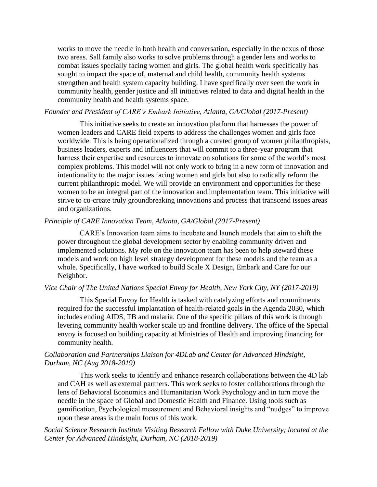works to move the needle in both health and conversation, especially in the nexus of those two areas. Sall family also works to solve problems through a gender lens and works to combat issues specially facing women and girls. The global health work specifically has sought to impact the space of, maternal and child health, community health systems strengthen and health system capacity building. I have specifically over seen the work in community health, gender justice and all initiatives related to data and digital health in the community health and health systems space.

#### *Founder and President of CARE's Embark Initiative, Atlanta, GA/Global (2017-Present)*

This initiative seeks to create an innovation platform that harnesses the power of women leaders and CARE field experts to address the challenges women and girls face worldwide. This is being operationalized through a curated group of women philanthropists, business leaders, experts and influencers that will commit to a three-year program that harness their expertise and resources to innovate on solutions for some of the world's most complex problems. This model will not only work to bring in a new form of innovation and intentionality to the major issues facing women and girls but also to radically reform the current philanthropic model. We will provide an environment and opportunities for these women to be an integral part of the innovation and implementation team. This initiative will strive to co-create truly groundbreaking innovations and process that transcend issues areas and organizations.

#### *Principle of CARE Innovation Team, Atlanta, GA/Global (2017-Present)*

CARE's Innovation team aims to incubate and launch models that aim to shift the power throughout the global development sector by enabling community driven and implemented solutions. My role on the innovation team has been to help steward these models and work on high level strategy development for these models and the team as a whole. Specifically, I have worked to build Scale X Design, Embark and Care for our Neighbor.

#### *Vice Chair of The United Nations Special Envoy for Health, New York City, NY (2017-2019)*

This Special Envoy for Health is tasked with catalyzing efforts and commitments required for the successful implantation of health-related goals in the Agenda 2030, which includes ending AIDS, TB and malaria. One of the specific pillars of this work is through levering community health worker scale up and frontline delivery. The office of the Special envoy is focused on building capacity at Ministries of Health and improving financing for community health.

#### *Collaboration and Partnerships Liaison for 4DLab and Center for Advanced Hindsight, Durham, NC (Aug 2018-2019)*

This work seeks to identify and enhance research collaborations between the 4D lab and CAH as well as external partners. This work seeks to foster collaborations through the lens of Behavioral Economics and Humanitarian Work Psychology and in turn move the needle in the space of Global and Domestic Health and Finance. Using tools such as gamification, Psychological measurement and Behavioral insights and "nudges" to improve upon these areas is the main focus of this work.

*Social Science Research Institute Visiting Research Fellow with Duke University; located at the Center for Advanced Hindsight, Durham, NC (2018-2019)*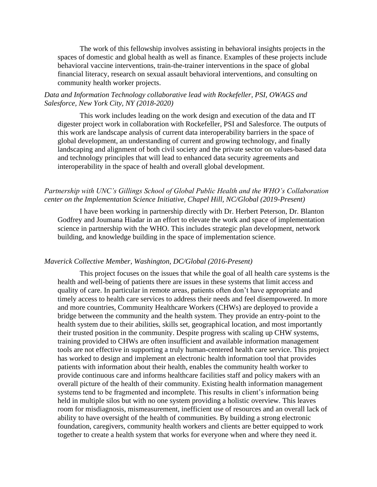The work of this fellowship involves assisting in behavioral insights projects in the spaces of domestic and global health as well as finance. Examples of these projects include behavioral vaccine interventions, train-the-trainer interventions in the space of global financial literacy, research on sexual assault behavioral interventions, and consulting on community health worker projects.

### *Data and Information Technology collaborative lead with Rockefeller, PSI, OWAGS and Salesforce, New York City, NY (2018-2020)*

This work includes leading on the work design and execution of the data and IT digester project work in collaboration with Rockefeller, PSI and Salesforce. The outputs of this work are landscape analysis of current data interoperability barriers in the space of global development, an understanding of current and growing technology, and finally landscaping and alignment of both civil society and the private sector on values-based data and technology principles that will lead to enhanced data security agreements and interoperability in the space of health and overall global development.

#### *Partnership with UNC's Gillings School of Global Public Health and the WHO's Collaboration center on the Implementation Science Initiative, Chapel Hill, NC/Global (2019-Present)*

I have been working in partnership directly with Dr. Herbert Peterson, Dr. Blanton Godfrey and Joumana Hiadar in an effort to elevate the work and space of implementation science in partnership with the WHO. This includes strategic plan development, network building, and knowledge building in the space of implementation science.

#### *Maverick Collective Member, Washington, DC/Global (2016-Present)*

This project focuses on the issues that while the goal of all health care systems is the health and well-being of patients there are issues in these systems that limit access and quality of care. In particular in remote areas, patients often don't have appropriate and timely access to health care services to address their needs and feel disempowered. In more and more countries, Community Healthcare Workers (CHWs) are deployed to provide a bridge between the community and the health system. They provide an entry-point to the health system due to their abilities, skills set, geographical location, and most importantly their trusted position in the community. Despite progress with scaling up CHW systems, training provided to CHWs are often insufficient and available information management tools are not effective in supporting a truly human-centered health care service. This project has worked to design and implement an electronic health information tool that provides patients with information about their health, enables the community health worker to provide continuous care and informs healthcare facilities staff and policy makers with an overall picture of the health of their community. Existing health information management systems tend to be fragmented and incomplete. This results in client's information being held in multiple silos but with no one system providing a holistic overview. This leaves room for misdiagnosis, mismeasurement, inefficient use of resources and an overall lack of ability to have oversight of the health of communities. By building a strong electronic foundation, caregivers, community health workers and clients are better equipped to work together to create a health system that works for everyone when and where they need it.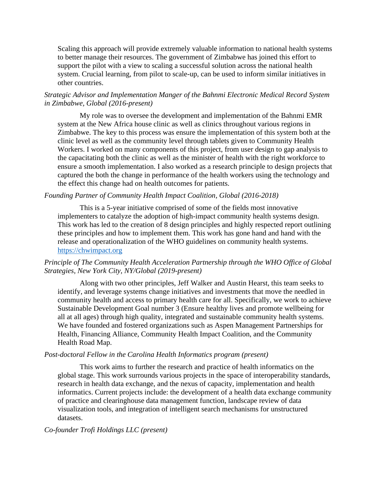Scaling this approach will provide extremely valuable information to national health systems to better manage their resources. The government of Zimbabwe has joined this effort to support the pilot with a view to scaling a successful solution across the national health system. Crucial learning, from pilot to scale-up, can be used to inform similar initiatives in other countries.

### *Strategic Advisor and Implementation Manger of the Bahnmi Electronic Medical Record System in Zimbabwe, Global (2016-present)*

My role was to oversee the development and implementation of the Bahnmi EMR system at the New Africa house clinic as well as clinics throughout various regions in Zimbabwe. The key to this process was ensure the implementation of this system both at the clinic level as well as the community level through tablets given to Community Health Workers. I worked on many components of this project, from user design to gap analysis to the capacitating both the clinic as well as the minister of health with the right workforce to ensure a smooth implementation. I also worked as a research principle to design projects that captured the both the change in performance of the health workers using the technology and the effect this change had on health outcomes for patients.

#### *Founding Partner of Community Health Impact Coalition, Global (2016-2018)*

This is a 5-year initiative comprised of some of the fields most innovative implementers to catalyze the adoption of high-impact community health systems design. This work has led to the creation of 8 design principles and highly respected report outlining these principles and how to implement them. This work has gone hand and hand with the release and operationalization of the WHO guidelines on community health systems. [https://chwimpact.org](https://chwimpact.org/)

#### *Principle of The Community Health Acceleration Partnership through the WHO Office of Global Strategies, New York City, NY/Global (2019-present)*

Along with two other principles, Jeff Walker and Austin Hearst, this team seeks to identify, and leverage systems change initiatives and investments that move the needled in community health and access to primary health care for all. Specifically, we work to achieve Sustainable Development Goal number 3 (Ensure healthy lives and promote wellbeing for all at all ages) through high quality, integrated and sustainable community health systems. We have founded and fostered organizations such as Aspen Management Partnerships for Health, Financing Alliance, Community Health Impact Coalition, and the Community Health Road Map.

#### *Post-doctoral Fellow in the Carolina Health Informatics program (present)*

This work aims to further the research and practice of health informatics on the global stage. This work surrounds various projects in the space of interoperability standards, research in health data exchange, and the nexus of capacity, implementation and health informatics. Current projects include: the development of a health data exchange community of practice and clearinghouse data management function, landscape review of data visualization tools, and integration of intelligent search mechanisms for unstructured datasets.

#### *Co-founder Trofi Holdings LLC (present)*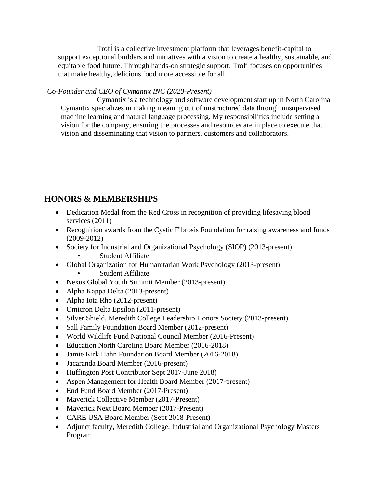TrofÍ is a collective investment platform that leverages benefit-capital to support exceptional builders and initiatives with a vision to create a healthy, sustainable, and equitable food future. Through hands-on strategic support, Trofí focuses on opportunities that make healthy, delicious food more accessible for all.

### *Co-Founder and CEO of Cymantix INC (2020-Present)*

Cymantix is a technology and software development start up in North Carolina. Cymantix specializes in making meaning out of unstructured data through unsupervised machine learning and natural language processing. My responsibilities include setting a vision for the company, ensuring the processes and resources are in place to execute that vision and disseminating that vision to partners, customers and collaborators.

# **HONORS & MEMBERSHIPS**

- Dedication Medal from the Red Cross in recognition of providing lifesaving blood services (2011)
- Recognition awards from the Cystic Fibrosis Foundation for raising awareness and funds (2009-2012)
- Society for Industrial and Organizational Psychology (SIOP) (2013-present)
	- Student Affiliate
- Global Organization for Humanitarian Work Psychology (2013-present)
	- **Student Affiliate**
- Nexus Global Youth Summit Member (2013-present)
- Alpha Kappa Delta (2013-present)
- Alpha Iota Rho (2012-present)
- Omicron Delta Epsilon (2011-present)
- Silver Shield, Meredith College Leadership Honors Society (2013-present)
- Sall Family Foundation Board Member (2012-present)
- World Wildlife Fund National Council Member (2016-Present)
- Education North Carolina Board Member (2016-2018)
- Jamie Kirk Hahn Foundation Board Member (2016-2018)
- Jacaranda Board Member (2016-present)
- Huffington Post Contributor Sept 2017-June 2018)
- Aspen Management for Health Board Member (2017-present)
- End Fund Board Member (2017-Present)
- Maverick Collective Member (2017-Present)
- Maverick Next Board Member (2017-Present)
- CARE USA Board Member (Sept 2018-Present)
- Adjunct faculty, Meredith College, Industrial and Organizational Psychology Masters Program